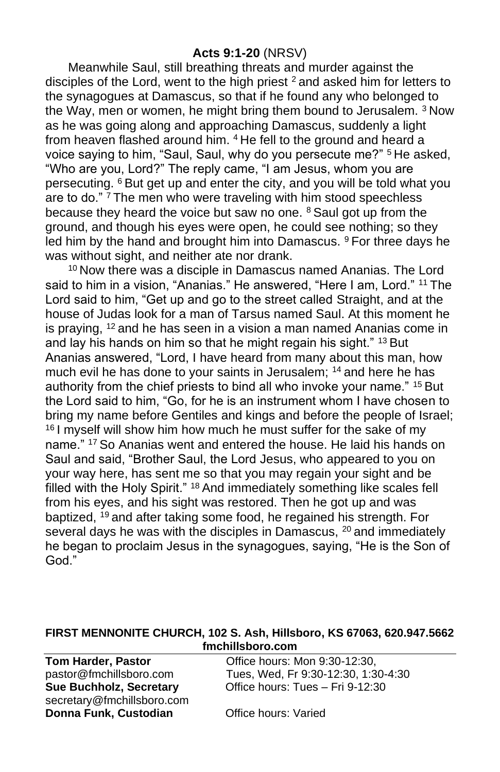#### **Acts 9:1-20** (NRSV)

Meanwhile Saul, still breathing threats and murder against the disciples of the Lord, went to the high priest <sup>2</sup> and asked him for letters to the synagogues at Damascus, so that if he found any who belonged to the Way, men or women, he might bring them bound to Jerusalem.  $3$  Now as he was going along and approaching Damascus, suddenly a light from heaven flashed around him. <sup>4</sup> He fell to the ground and heard a voice saying to him, "Saul, Saul, why do you persecute me?" <sup>5</sup> He asked, "Who are you, Lord?" The reply came, "I am Jesus, whom you are persecuting. <sup>6</sup> But get up and enter the city, and you will be told what you are to do."<sup>7</sup> The men who were traveling with him stood speechless because they heard the voice but saw no one.  $8$  Saul got up from the ground, and though his eyes were open, he could see nothing; so they led him by the hand and brought him into Damascus. <sup>9</sup> For three days he was without sight, and neither ate nor drank.

<sup>10</sup> Now there was a disciple in Damascus named Ananias. The Lord said to him in a vision, "Ananias." He answered, "Here I am, Lord." <sup>11</sup> The Lord said to him, "Get up and go to the street called Straight, and at the house of Judas look for a man of Tarsus named Saul. At this moment he is praying, <sup>12</sup> and he has seen in a vision a man named Ananias come in and lay his hands on him so that he might regain his sight." <sup>13</sup> But Ananias answered, "Lord, I have heard from many about this man, how much evil he has done to your saints in Jerusalem; <sup>14</sup> and here he has authority from the chief priests to bind all who invoke your name." <sup>15</sup> But the Lord said to him, "Go, for he is an instrument whom I have chosen to bring my name before Gentiles and kings and before the people of Israel; <sup>16</sup> I myself will show him how much he must suffer for the sake of my name." <sup>17</sup> So Ananias went and entered the house. He laid his hands on Saul and said, "Brother Saul, the Lord Jesus, who appeared to you on your way here, has sent me so that you may regain your sight and be filled with the Holy Spirit." <sup>18</sup> And immediately something like scales fell from his eyes, and his sight was restored. Then he got up and was baptized, <sup>19</sup> and after taking some food, he regained his strength. For several days he was with the disciples in Damascus, <sup>20</sup> and immediately he began to proclaim Jesus in the synagogues, saying, "He is the Son of God."

#### **FIRST MENNONITE CHURCH, 102 S. Ash, Hillsboro, KS 67063, 620.947.5662 fmchillsboro.com**

| <b>Tom Harder, Pastor</b>  | Office hours: Mon 9:30-12:30,       |
|----------------------------|-------------------------------------|
| pastor@fmchillsboro.com    | Tues, Wed, Fr 9:30-12:30, 1:30-4:30 |
| Sue Buchholz, Secretary    | Office hours: Tues - Fri 9-12:30    |
| secretary@fmchillsboro.com |                                     |
| Donna Funk, Custodian      | Office hours: Varied                |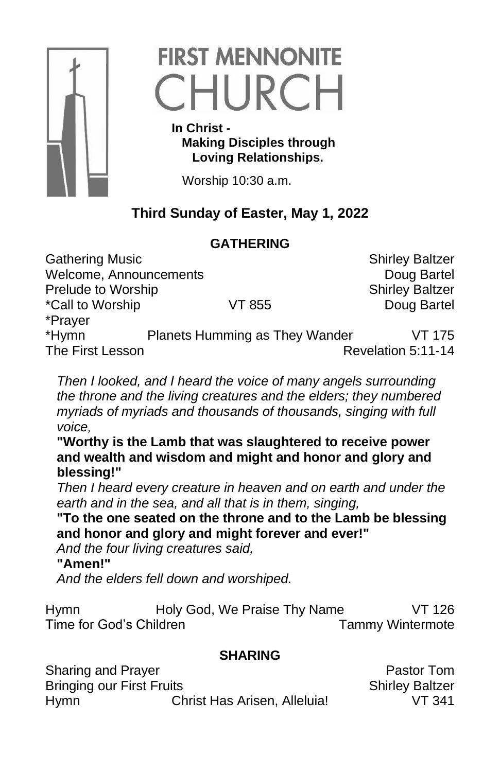

# **FIRST MENNONITE** CHURCH

 **In Christ - Making Disciples through Loving Relationships.**

Worship 10:30 a.m.

## **Third Sunday of Easter, May 1, 2022**

### **GATHERING**

Gathering Music **Shirley Baltzer** Shirley Baltzer Welcome, Announcements **Doug Bartel** Doug Bartel Prelude to Worship Shirley Baltzer \*Call to Worship VT 855 Doug Bartel \*Prayer \*Hymn Planets Humming as They Wander VT 175<br>The First Lesson Presson Revelation 5:11-14 Revelation 5:11-14

*Then I looked, and I heard the voice of many angels surrounding the throne and the living creatures and the elders; they numbered myriads of myriads and thousands of thousands, singing with full voice,*

**"Worthy is the Lamb that was slaughtered to receive power and wealth and wisdom and might and honor and glory and blessing!"**

*Then I heard every creature in heaven and on earth and under the earth and in the sea, and all that is in them, singing,* 

**"To the one seated on the throne and to the Lamb be blessing and honor and glory and might forever and ever!"**

*And the four living creatures said,* 

#### **"Amen!"**

*And the elders fell down and worshiped.*

Hymn Holy God, We Praise Thy Name VT 126 Time for God's Children Time Tammy Wintermote

### **SHARING**

Sharing and Prayer **Pastor Tom** Bringing our First Fruits **Shirley Baltzer** Shirley Baltzer Hymn Christ Has Arisen, Alleluia! VT 341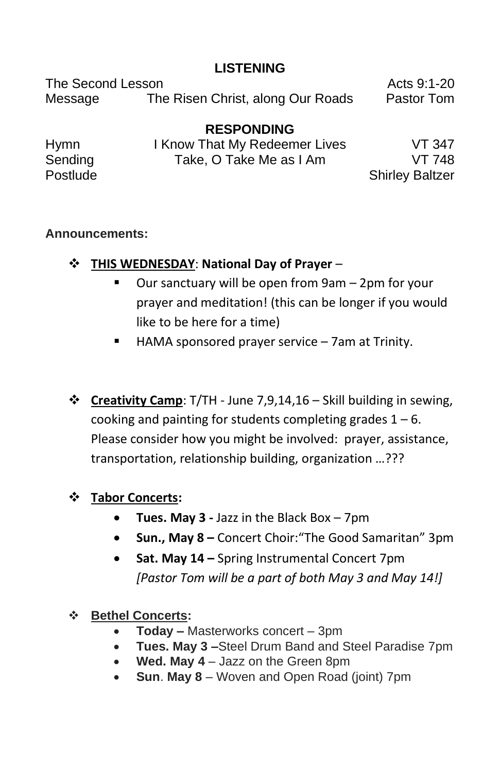#### **LISTENING**

The Second Lesson **Acts** 9:1-20 Message The Risen Christ, along Our Roads Pastor Tom

**RESPONDING** Hymn I Know That My Redeemer Lives VT 347 Sending Take, O Take Me as I Am VT 748 Postlude **Shirley Baltzer** 

#### **Announcements:**

- ❖ **THIS WEDNESDAY**: **National Day of Prayer**
	- Our sanctuary will be open from 9am 2pm for your prayer and meditation! (this can be longer if you would like to be here for a time)
	- HAMA sponsored prayer service 7am at Trinity.
- ❖ **Creativity Camp**: T/TH June 7,9,14,16 Skill building in sewing, cooking and painting for students completing grades  $1 - 6$ . Please consider how you might be involved: prayer, assistance, transportation, relationship building, organization …???

#### ❖ **Tabor Concerts:**

- **Tues. May 3 -** Jazz in the Black Box 7pm
- **Sun., May 8 –** Concert Choir:"The Good Samaritan" 3pm
- **Sat. May 14 –** Spring Instrumental Concert 7pm *[Pastor Tom will be a part of both May 3 and May 14!]*
- ❖ **Bethel Concerts:**
	- **Today –** Masterworks concert 3pm
	- **Tues. May 3 –**Steel Drum Band and Steel Paradise 7pm
	- **Wed. May 4** Jazz on the Green 8pm
	- **Sun**. **May 8** Woven and Open Road (joint) 7pm